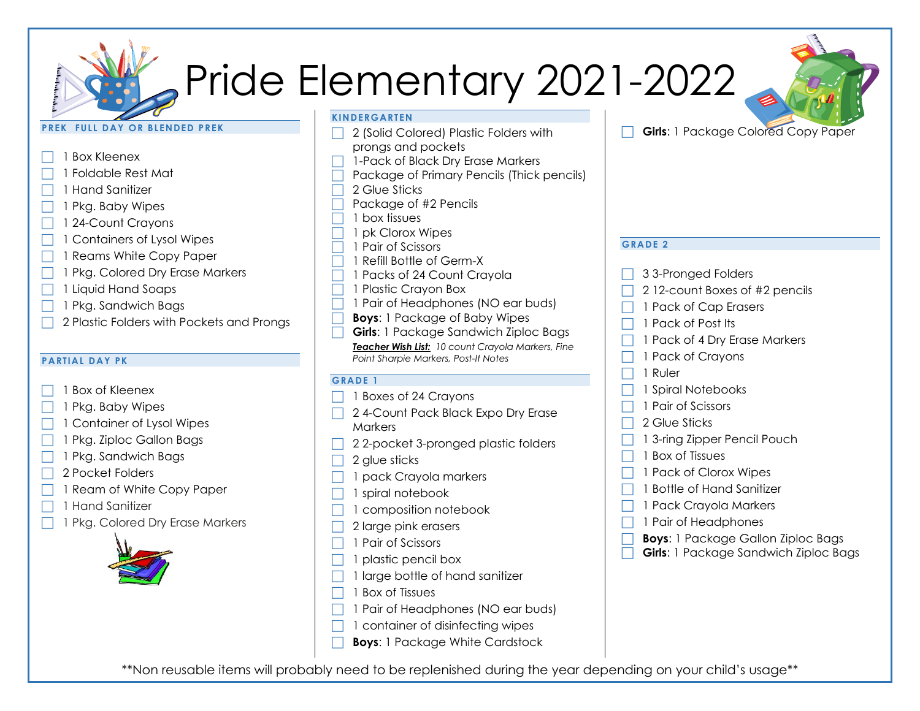# Pride Elementary 2021-2022

### **PREK FULL DAY OR BLENDED PREK**



# **PARTIAL DAY PK**

- 1 Box of Kleenex
- 1 Pkg. Baby Wipes
- 1 Container of Lysol Wipes
- 1 Pkg. Ziploc Gallon Bags
- 1 Pkg. Sandwich Bags
- 2 Pocket Folders
- 1 Ream of White Copy Paper
- 1 Hand Sanitizer
- 1 Pkg. Colored Dry Erase Markers



- **KINDERGARTEN**
- 2 (Solid Colored) Plastic Folders with prongs and pockets
- 1-Pack of Black Dry Erase Markers
- Package of Primary Pencils (Thick pencils)
- 2 Glue Sticks
- Package of #2 Pencils
- 1 box tissues
- 1 pk Clorox Wipes
- 1 Pair of Scissors
- 1 Refill Bottle of Germ-X
- 1 Packs of 24 Count Crayola
- 1 Plastic Crayon Box
- $\Box$  1 Pair of Headphones (NO ear buds)
- **Boys**: 1 Package of Baby Wipes
- **Girls**: 1 Package Sandwich Ziploc Bags *Teacher Wish List: 10 count Crayola Markers, Fine Point Sharpie Markers, Post-It Notes*

#### **GRADE 1**

- 1 Boxes of 24 Crayons
- 2 4-Count Pack Black Expo Dry Erase **Markers**
- $\Box$  2 2-pocket 3-pronged plastic folders
- 2 glue sticks
- 1 pack Crayola markers
- 1 spiral notebook
- 1 composition notebook
- 2 large pink erasers
- 1 Pair of Scissors
- 1 plastic pencil box
- 1 large bottle of hand sanitizer
- 1 Box of Tissues
- 1 Pair of Headphones (NO ear buds)
- 1 container of disinfecting wipes
- **Boys**: 1 Package White Cardstock



## **GRADE 2**

- 3 3-Pronged Folders
- 2 12-count Boxes of #2 pencils
- 1 Pack of Cap Erasers
- 1 Pack of Post Its
- 1 Pack of 4 Dry Erase Markers
- 1 Pack of Crayons
- 1 Ruler
- 1 Spiral Notebooks
- 1 Pair of Scissors
- 2 Glue Sticks
- 1 3-ring Zipper Pencil Pouch
- 1 Box of Tissues
- 1 Pack of Clorox Wipes
- 1 Bottle of Hand Sanitizer
- 1 Pack Crayola Markers
- 1 Pair of Headphones
- **Boys**: 1 Package Gallon Ziploc Bags
- **Girls**: 1 Package Sandwich Ziploc Bags

\*\*Non reusable items will probably need to be replenished during the year depending on your child's usage\*\*